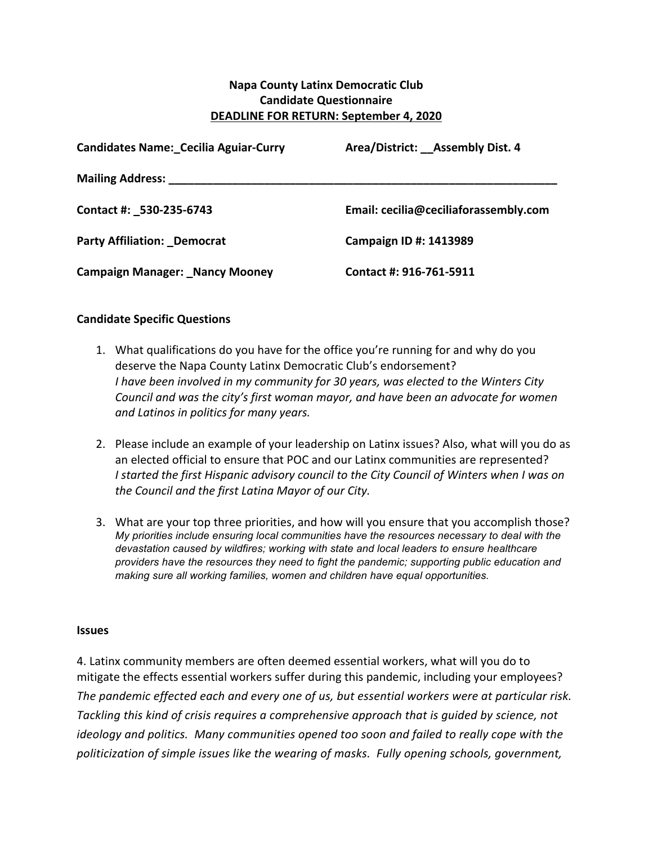## **Napa County Latinx Democratic Club Candidate Questionnaire DEADLINE FOR RETURN: September 4, 2020**

| <b>Candidates Name: Cecilia Aguiar-Curry</b> | Area/District: Assembly Dist. 4       |
|----------------------------------------------|---------------------------------------|
| <b>Mailing Address:</b> Mailing Address:     |                                       |
| Contact #: _530-235-6743                     | Email: cecilia@ceciliaforassembly.com |
| <b>Party Affiliation: Democrat</b>           | Campaign ID #: 1413989                |
| <b>Campaign Manager: Nancy Mooney</b>        | Contact #: 916-761-5911               |

## **Candidate Specific Questions**

- 1. What qualifications do you have for the office you're running for and why do you deserve the Napa County Latinx Democratic Club's endorsement? *I* have been involved in my community for 30 years, was elected to the Winters City *Council* and was the city's first woman mayor, and have been an advocate for women *and Latinos in politics for many years.*
- 2. Please include an example of your leadership on Latinx issues? Also, what will you do as an elected official to ensure that POC and our Latinx communities are represented? *I* started the first Hispanic advisory council to the City Council of Winters when I was on the Council and the first Latina Mayor of our City.
- 3. What are your top three priorities, and how will you ensure that you accomplish those? *My priorities include ensuring local communities have the resources necessary to deal with the devastation caused by wildfires; working with state and local leaders to ensure healthcare providers have the resources they need to fight the pandemic; supporting public education and making sure all working families, women and children have equal opportunities.*

## **Issues**

4. Latinx community members are often deemed essential workers, what will you do to mitigate the effects essential workers suffer during this pandemic, including your employees? The pandemic effected each and every one of us, but essential workers were at particular risk. *Tackling this kind of crisis requires a comprehensive approach that is guided by science, not ideology* and politics. Many communities opened too soon and failed to really cope with the *politicization of simple issues like the wearing of masks. Fully opening schools, government,*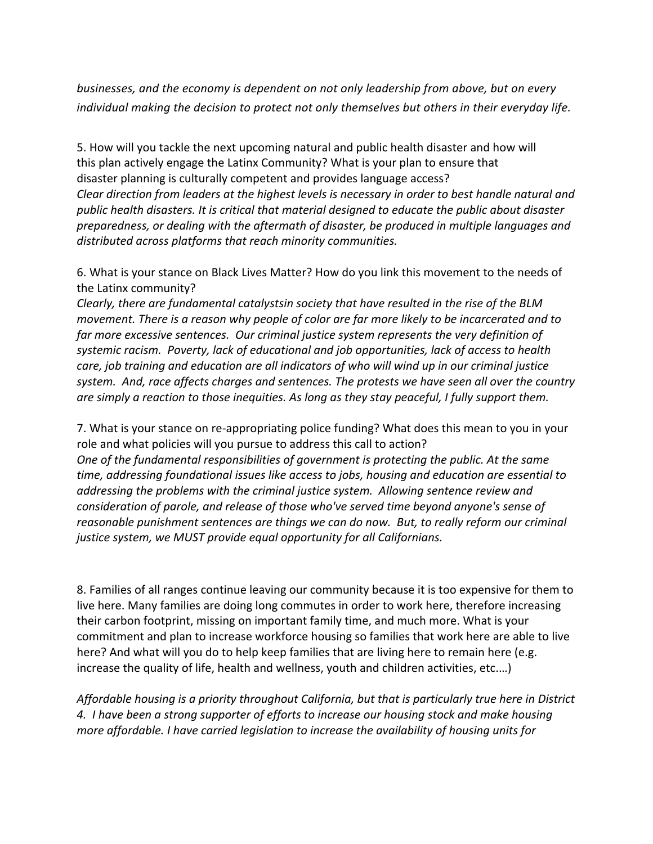*businesses, and the economy is dependent on not only leadership from above, but on every individual making the decision to protect not only themselves but others in their everyday life.* 

5. How will you tackle the next upcoming natural and public health disaster and how will this plan actively engage the Latinx Community? What is your plan to ensure that disaster planning is culturally competent and provides language access? *Clear* direction from leaders at the highest levels is necessary in order to best handle natural and *public health disasters. It is critical that material designed to educate the public about disaster preparedness, or dealing with the aftermath of disaster, be produced in multiple languages and*  distributed across platforms that reach minority communities.

6. What is your stance on Black Lives Matter? How do you link this movement to the needs of the Latinx community?

*Clearly, there are fundamental catalystsin society that have resulted in the rise of the BLM movement.* There is a reason why people of color are far more likely to be incarcerated and to far more excessive sentences. Our criminal justice system represents the very definition of systemic racism. Poverty, lack of educational and job opportunities, lack of access to health *care, job training and education are all indicators of who will wind up in our criminal justice* system. And, race affects charges and sentences. The protests we have seen all over the country are simply a reaction to those inequities. As long as they stay peaceful, I fully support them.

7. What is your stance on re-appropriating police funding? What does this mean to you in your role and what policies will you pursue to address this call to action?

*One of the fundamental responsibilities of government is protecting the public. At the same time, addressing foundational issues like access to jobs, housing and education are essential to addressing the problems with the criminal justice system. Allowing sentence review and consideration of parole, and release of those who've served time beyond anyone's sense of reasonable punishment sentences are things we can do now. But, to really reform our criminal* justice system, we MUST provide equal opportunity for all Californians.

8. Families of all ranges continue leaving our community because it is too expensive for them to live here. Many families are doing long commutes in order to work here, therefore increasing their carbon footprint, missing on important family time, and much more. What is your commitment and plan to increase workforce housing so families that work here are able to live here? And what will you do to help keep families that are living here to remain here (e.g. increase the quality of life, health and wellness, youth and children activities, etc....)

*Affordable housing is a priority throughout California, but that is particularly true here in District* 4. I have been a strong supporter of efforts to increase our housing stock and make housing *more affordable. I* have carried legislation to increase the availability of housing units for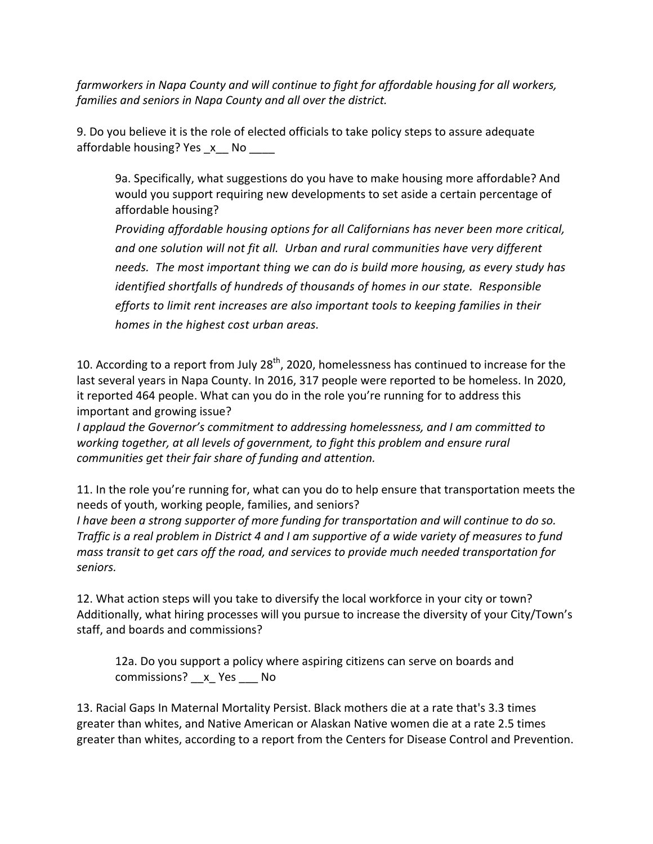*farmworkers* in Napa County and will continue to fight for affordable housing for all workers, *families and seniors in Napa County and all over the district.* 

9. Do you believe it is the role of elected officials to take policy steps to assure adequate affordable housing? Yes  $x$  No  $\overline{\phantom{a}}$ 

9a. Specifically, what suggestions do you have to make housing more affordable? And would you support requiring new developments to set aside a certain percentage of affordable housing?

*Providing affordable housing options for all Californians has never been more critical,* and one solution will not fit all. Urban and rural communities have very different *needs.* The most important thing we can do is build more housing, as every study has *identified shortfalls of hundreds of thousands of homes in our state. Responsible efforts* to limit rent increases are also important tools to keeping families in their homes in the highest cost urban areas.

10. According to a report from July 28<sup>th</sup>, 2020, homelessness has continued to increase for the last several years in Napa County. In 2016, 317 people were reported to be homeless. In 2020, it reported 464 people. What can you do in the role you're running for to address this important and growing issue?

*I* applaud the Governor's commitment to addressing homelessness, and *I* am committed to *working together, at all levels of government, to fight this problem and ensure rural communities get their fair share of funding and attention.*

11. In the role you're running for, what can you do to help ensure that transportation meets the needs of youth, working people, families, and seniors?

*I* have been a strong supporter of more funding for transportation and will continue to do so. *Traffic* is a real problem in District 4 and I am supportive of a wide variety of measures to fund *mass transit to get cars off the road, and services to provide much needed transportation for seniors.*

12. What action steps will you take to diversify the local workforce in your city or town? Additionally, what hiring processes will you pursue to increase the diversity of your City/Town's staff, and boards and commissions?

12a. Do you support a policy where aspiring citizens can serve on boards and commissions? x Yes No

13. Racial Gaps In Maternal Mortality Persist. Black mothers die at a rate that's 3.3 times greater than whites, and Native American or Alaskan Native women die at a rate 2.5 times greater than whites, according to a report from the Centers for Disease Control and Prevention.